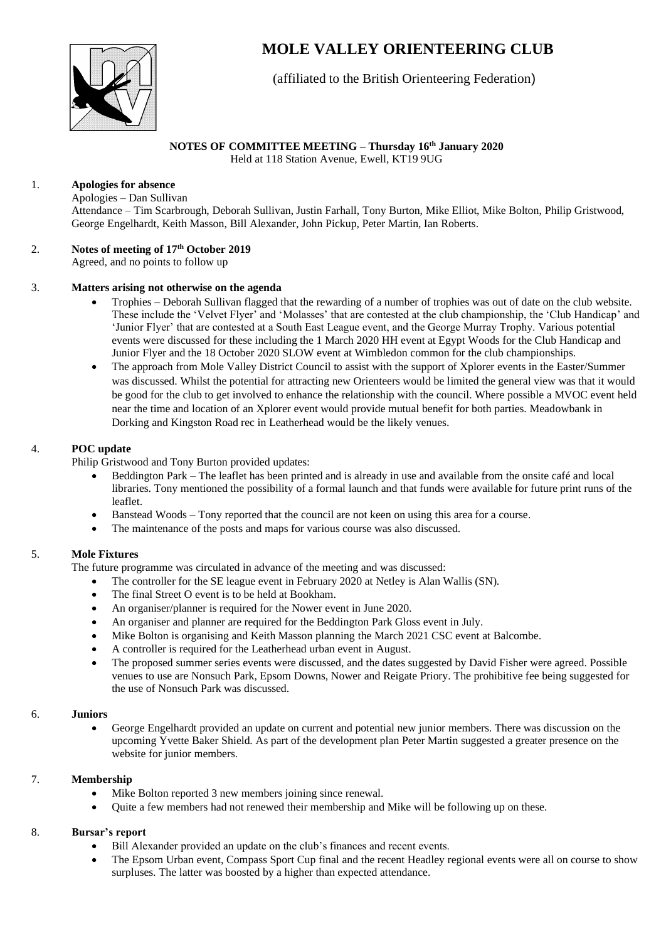

# **MOLE VALLEY ORIENTEERING CLUB**

(affiliated to the British Orienteering Federation)

## **NOTES OF COMMITTEE MEETING – Thursday 16 th January 2020**

Held at 118 Station Avenue, Ewell, KT19 9UG

## 1. **Apologies for absence**

Apologies – Dan Sullivan Attendance – Tim Scarbrough, Deborah Sullivan, Justin Farhall, Tony Burton, Mike Elliot, Mike Bolton, Philip Gristwood, George Engelhardt, Keith Masson, Bill Alexander, John Pickup, Peter Martin, Ian Roberts.

#### 2. **Notes of meeting of 17th October 2019** Agreed, and no points to follow up

#### 3. **Matters arising not otherwise on the agenda**

- Trophies Deborah Sullivan flagged that the rewarding of a number of trophies was out of date on the club website. These include the 'Velvet Flyer' and 'Molasses' that are contested at the club championship, the 'Club Handicap' and 'Junior Flyer' that are contested at a South East League event, and the George Murray Trophy. Various potential events were discussed for these including the 1 March 2020 HH event at Egypt Woods for the Club Handicap and Junior Flyer and the 18 October 2020 SLOW event at Wimbledon common for the club championships.
- The approach from Mole Valley District Council to assist with the support of Xplorer events in the Easter/Summer was discussed. Whilst the potential for attracting new Orienteers would be limited the general view was that it would be good for the club to get involved to enhance the relationship with the council. Where possible a MVOC event held near the time and location of an Xplorer event would provide mutual benefit for both parties. Meadowbank in Dorking and Kingston Road rec in Leatherhead would be the likely venues.

## 4. **POC update**

Philip Gristwood and Tony Burton provided updates:

- Beddington Park The leaflet has been printed and is already in use and available from the onsite café and local libraries. Tony mentioned the possibility of a formal launch and that funds were available for future print runs of the leaflet.
- Banstead Woods Tony reported that the council are not keen on using this area for a course.
- The maintenance of the posts and maps for various course was also discussed.

## 5. **Mole Fixtures**

The future programme was circulated in advance of the meeting and was discussed:

- The controller for the SE league event in February 2020 at Netley is Alan Wallis (SN).
- The final Street O event is to be held at Bookham.
- An organiser/planner is required for the Nower event in June 2020.
- An organiser and planner are required for the Beddington Park Gloss event in July.
- Mike Bolton is organising and Keith Masson planning the March 2021 CSC event at Balcombe.
- A controller is required for the Leatherhead urban event in August.
- The proposed summer series events were discussed, and the dates suggested by David Fisher were agreed. Possible venues to use are Nonsuch Park, Epsom Downs, Nower and Reigate Priory. The prohibitive fee being suggested for the use of Nonsuch Park was discussed.

#### 6. **Juniors**

• George Engelhardt provided an update on current and potential new junior members. There was discussion on the upcoming Yvette Baker Shield. As part of the development plan Peter Martin suggested a greater presence on the website for junior members.

## 7. **Membership**

- Mike Bolton reported 3 new members joining since renewal.
- Quite a few members had not renewed their membership and Mike will be following up on these.

## 8. **Bursar's report**

- Bill Alexander provided an update on the club's finances and recent events.
- The Epsom Urban event, Compass Sport Cup final and the recent Headley regional events were all on course to show surpluses. The latter was boosted by a higher than expected attendance.